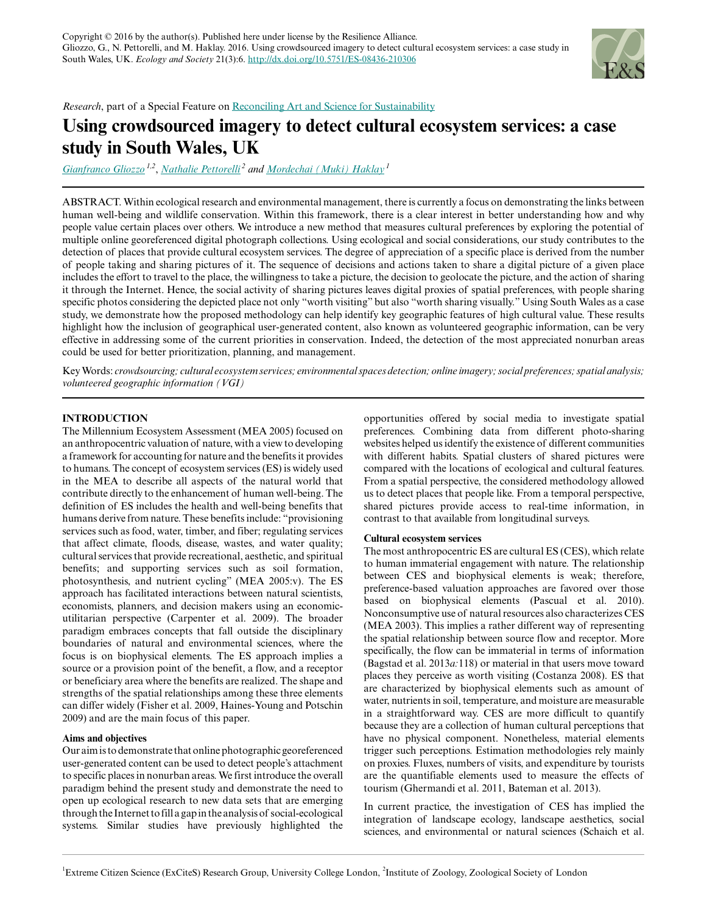

*Research*, part of a Special Feature on [Reconciling Art and Science for Sustainability](http://www.ecologyandsociety.org/viewissue.php?sf=112)

# **Using crowdsourced imagery to detect cultural ecosystem services: a case study in South Wales, UK**

*[Gianfranco Gliozzo](mailto:g.gliozzo@ucl.ac.uk) 1,2* , *[Nathalie Pettorelli](mailto:Nathalie.Pettorelli@ioz.ac.uk)<sup>2</sup> and [Mordechai \(Muki\) Haklay](mailto:m.haklay@ucl.ac.uk)<sup>1</sup>*

ABSTRACT. Within ecological research and environmental management, there is currently a focus on demonstrating the links between human well-being and wildlife conservation. Within this framework, there is a clear interest in better understanding how and why people value certain places over others. We introduce a new method that measures cultural preferences by exploring the potential of multiple online georeferenced digital photograph collections. Using ecological and social considerations, our study contributes to the detection of places that provide cultural ecosystem services. The degree of appreciation of a specific place is derived from the number of people taking and sharing pictures of it. The sequence of decisions and actions taken to share a digital picture of a given place includes the effort to travel to the place, the willingness to take a picture, the decision to geolocate the picture, and the action of sharing it through the Internet. Hence, the social activity of sharing pictures leaves digital proxies of spatial preferences, with people sharing specific photos considering the depicted place not only "worth visiting" but also "worth sharing visually." Using South Wales as a case study, we demonstrate how the proposed methodology can help identify key geographic features of high cultural value. These results highlight how the inclusion of geographical user-generated content, also known as volunteered geographic information, can be very effective in addressing some of the current priorities in conservation. Indeed, the detection of the most appreciated nonurban areas could be used for better prioritization, planning, and management.

Key Words: *crowdsourcing; cultural ecosystem services; environmental spaces detection; online imagery; social preferences; spatial analysis; volunteered geographic information (VGI)*

# **INTRODUCTION**

The Millennium Ecosystem Assessment (MEA 2005) focused on an anthropocentric valuation of nature, with a view to developing a framework for accounting for nature and the benefits it provides to humans. The concept of ecosystem services (ES) is widely used in the MEA to describe all aspects of the natural world that contribute directly to the enhancement of human well-being. The definition of ES includes the health and well-being benefits that humans derive from nature. These benefits include: "provisioning services such as food, water, timber, and fiber; regulating services that affect climate, floods, disease, wastes, and water quality; cultural services that provide recreational, aesthetic, and spiritual benefits; and supporting services such as soil formation, photosynthesis, and nutrient cycling" (MEA 2005:v). The ES approach has facilitated interactions between natural scientists, economists, planners, and decision makers using an economicutilitarian perspective (Carpenter et al. 2009). The broader paradigm embraces concepts that fall outside the disciplinary boundaries of natural and environmental sciences, where the focus is on biophysical elements. The ES approach implies a source or a provision point of the benefit, a flow, and a receptor or beneficiary area where the benefits are realized. The shape and strengths of the spatial relationships among these three elements can differ widely (Fisher et al. 2009, Haines-Young and Potschin 2009) and are the main focus of this paper.

# **Aims and objectives**

Our aim is to demonstrate that online photographic georeferenced user-generated content can be used to detect people's attachment to specific places in nonurban areas. We first introduce the overall paradigm behind the present study and demonstrate the need to open up ecological research to new data sets that are emerging through the Internet to fill a gap in the analysis of social-ecological systems. Similar studies have previously highlighted the opportunities offered by social media to investigate spatial preferences. Combining data from different photo-sharing websites helped us identify the existence of different communities with different habits. Spatial clusters of shared pictures were compared with the locations of ecological and cultural features. From a spatial perspective, the considered methodology allowed us to detect places that people like. From a temporal perspective, shared pictures provide access to real-time information, in contrast to that available from longitudinal surveys.

# **Cultural ecosystem services**

The most anthropocentric ES are cultural ES (CES), which relate to human immaterial engagement with nature. The relationship between CES and biophysical elements is weak; therefore, preference-based valuation approaches are favored over those based on biophysical elements (Pascual et al. 2010). Nonconsumptive use of natural resources also characterizes CES (MEA 2003). This implies a rather different way of representing the spatial relationship between source flow and receptor. More specifically, the flow can be immaterial in terms of information (Bagstad et al. 2013*a:*118) or material in that users move toward places they perceive as worth visiting (Costanza 2008). ES that are characterized by biophysical elements such as amount of water, nutrients in soil, temperature, and moisture are measurable in a straightforward way. CES are more difficult to quantify because they are a collection of human cultural perceptions that have no physical component. Nonetheless, material elements trigger such perceptions. Estimation methodologies rely mainly on proxies. Fluxes, numbers of visits, and expenditure by tourists are the quantifiable elements used to measure the effects of tourism (Ghermandi et al. 2011, Bateman et al. 2013).

In current practice, the investigation of CES has implied the integration of landscape ecology, landscape aesthetics, social sciences, and environmental or natural sciences (Schaich et al.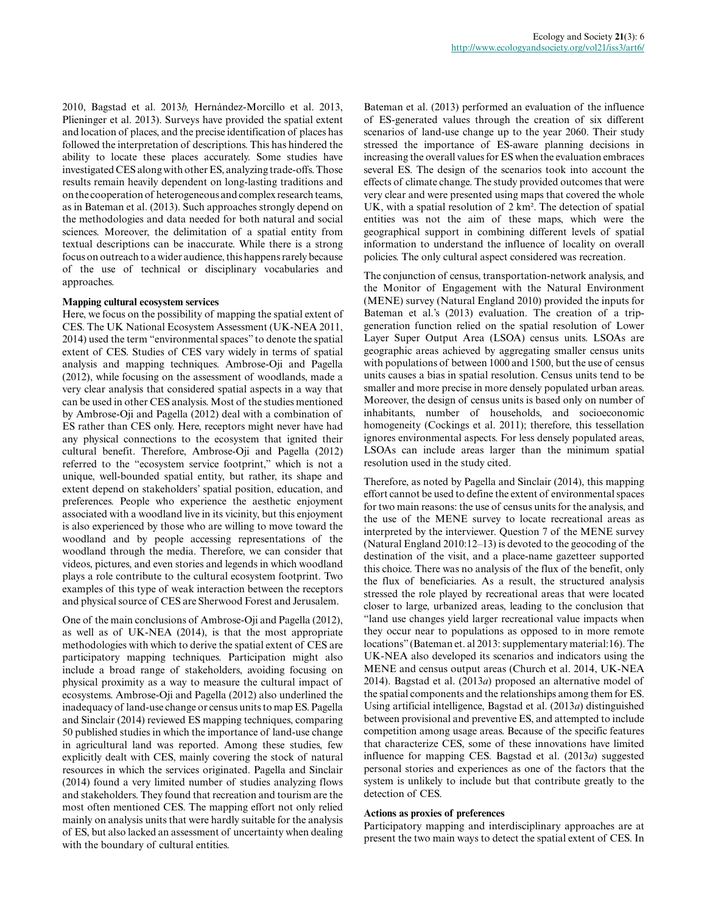2010, Bagstad et al. 2013*b,* Hernández-Morcillo et al. 2013, Plieninger et al. 2013). Surveys have provided the spatial extent and location of places, and the precise identification of places has followed the interpretation of descriptions. This has hindered the ability to locate these places accurately. Some studies have investigated CES along with other ES, analyzing trade-offs. Those results remain heavily dependent on long-lasting traditions and on the cooperation of heterogeneous and complex research teams, as in Bateman et al. (2013). Such approaches strongly depend on the methodologies and data needed for both natural and social sciences. Moreover, the delimitation of a spatial entity from textual descriptions can be inaccurate. While there is a strong focus on outreach to a wider audience, this happens rarely because of the use of technical or disciplinary vocabularies and approaches.

# **Mapping cultural ecosystem services**

Here, we focus on the possibility of mapping the spatial extent of CES. The UK National Ecosystem Assessment (UK-NEA 2011, 2014) used the term "environmental spaces" to denote the spatial extent of CES. Studies of CES vary widely in terms of spatial analysis and mapping techniques. Ambrose-Oji and Pagella (2012), while focusing on the assessment of woodlands, made a very clear analysis that considered spatial aspects in a way that can be used in other CES analysis. Most of the studies mentioned by Ambrose-Oji and Pagella (2012) deal with a combination of ES rather than CES only. Here, receptors might never have had any physical connections to the ecosystem that ignited their cultural benefit. Therefore, Ambrose-Oji and Pagella (2012) referred to the "ecosystem service footprint," which is not a unique, well-bounded spatial entity, but rather, its shape and extent depend on stakeholders' spatial position, education, and preferences. People who experience the aesthetic enjoyment associated with a woodland live in its vicinity, but this enjoyment is also experienced by those who are willing to move toward the woodland and by people accessing representations of the woodland through the media. Therefore, we can consider that videos, pictures, and even stories and legends in which woodland plays a role contribute to the cultural ecosystem footprint. Two examples of this type of weak interaction between the receptors and physical source of CES are Sherwood Forest and Jerusalem.

One of the main conclusions of Ambrose-Oji and Pagella (2012), as well as of UK-NEA (2014), is that the most appropriate methodologies with which to derive the spatial extent of CES are participatory mapping techniques. Participation might also include a broad range of stakeholders, avoiding focusing on physical proximity as a way to measure the cultural impact of ecosystems. Ambrose-Oji and Pagella (2012) also underlined the inadequacy of land-use change or census units to map ES. Pagella and Sinclair (2014) reviewed ES mapping techniques, comparing 50 published studies in which the importance of land-use change in agricultural land was reported. Among these studies, few explicitly dealt with CES, mainly covering the stock of natural resources in which the services originated. Pagella and Sinclair (2014) found a very limited number of studies analyzing flows and stakeholders. They found that recreation and tourism are the most often mentioned CES. The mapping effort not only relied mainly on analysis units that were hardly suitable for the analysis of ES, but also lacked an assessment of uncertainty when dealing with the boundary of cultural entities.

Bateman et al. (2013) performed an evaluation of the influence of ES-generated values through the creation of six different scenarios of land-use change up to the year 2060. Their study stressed the importance of ES-aware planning decisions in increasing the overall values for ES when the evaluation embraces several ES. The design of the scenarios took into account the effects of climate change. The study provided outcomes that were very clear and were presented using maps that covered the whole UK, with a spatial resolution of 2 km². The detection of spatial entities was not the aim of these maps, which were the geographical support in combining different levels of spatial information to understand the influence of locality on overall policies. The only cultural aspect considered was recreation.

The conjunction of census, transportation-network analysis, and the Monitor of Engagement with the Natural Environment (MENE) survey (Natural England 2010) provided the inputs for Bateman et al.'s (2013) evaluation. The creation of a tripgeneration function relied on the spatial resolution of Lower Layer Super Output Area (LSOA) census units. LSOAs are geographic areas achieved by aggregating smaller census units with populations of between 1000 and 1500, but the use of census units causes a bias in spatial resolution. Census units tend to be smaller and more precise in more densely populated urban areas. Moreover, the design of census units is based only on number of inhabitants, number of households, and socioeconomic homogeneity (Cockings et al. 2011); therefore, this tessellation ignores environmental aspects. For less densely populated areas, LSOAs can include areas larger than the minimum spatial resolution used in the study cited.

Therefore, as noted by Pagella and Sinclair (2014), this mapping effort cannot be used to define the extent of environmental spaces for two main reasons: the use of census units for the analysis, and the use of the MENE survey to locate recreational areas as interpreted by the interviewer. Question 7 of the MENE survey (Natural England 2010:12–13) is devoted to the geocoding of the destination of the visit, and a place-name gazetteer supported this choice. There was no analysis of the flux of the benefit, only the flux of beneficiaries. As a result, the structured analysis stressed the role played by recreational areas that were located closer to large, urbanized areas, leading to the conclusion that "land use changes yield larger recreational value impacts when they occur near to populations as opposed to in more remote locations" (Bateman et. al 2013: supplementary material:16). The UK-NEA also developed its scenarios and indicators using the MENE and census output areas (Church et al. 2014, UK-NEA 2014). Bagstad et al. (2013*a*) proposed an alternative model of the spatial components and the relationships among them for ES. Using artificial intelligence, Bagstad et al. (2013*a*) distinguished between provisional and preventive ES, and attempted to include competition among usage areas. Because of the specific features that characterize CES, some of these innovations have limited influence for mapping CES. Bagstad et al. (2013*a*) suggested personal stories and experiences as one of the factors that the system is unlikely to include but that contribute greatly to the detection of CES.

# **Actions as proxies of preferences**

Participatory mapping and interdisciplinary approaches are at present the two main ways to detect the spatial extent of CES. In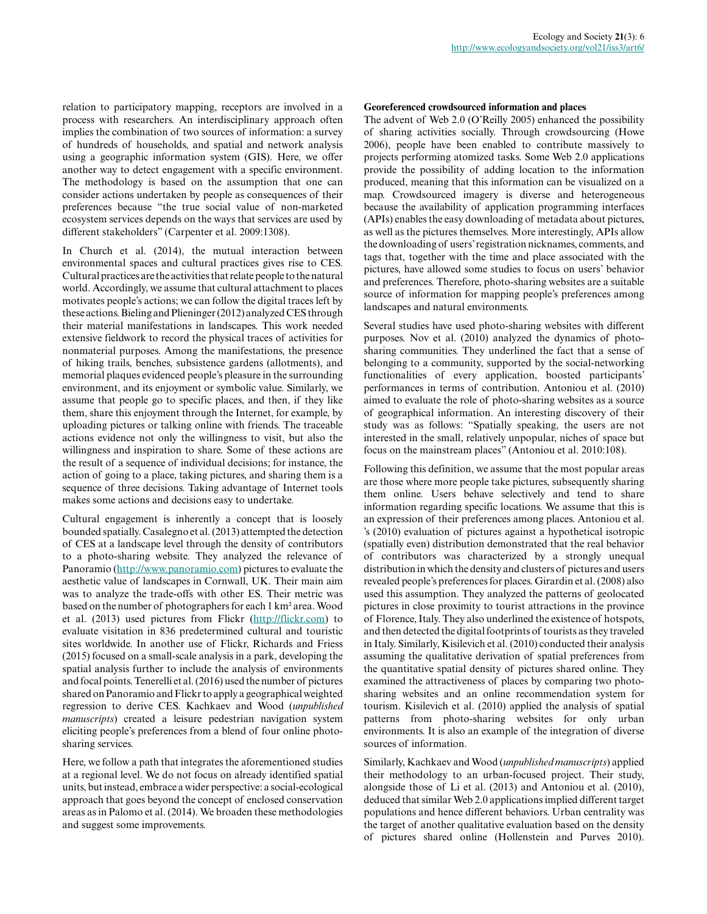relation to participatory mapping, receptors are involved in a process with researchers. An interdisciplinary approach often implies the combination of two sources of information: a survey of hundreds of households, and spatial and network analysis using a geographic information system (GIS). Here, we offer another way to detect engagement with a specific environment. The methodology is based on the assumption that one can consider actions undertaken by people as consequences of their preferences because "the true social value of non-marketed ecosystem services depends on the ways that services are used by different stakeholders" (Carpenter et al. 2009:1308).

In Church et al. (2014), the mutual interaction between environmental spaces and cultural practices gives rise to CES. Cultural practices are the activities that relate people to the natural world. Accordingly, we assume that cultural attachment to places motivates people's actions; we can follow the digital traces left by these actions. Bieling and Plieninger (2012) analyzed CES through their material manifestations in landscapes. This work needed extensive fieldwork to record the physical traces of activities for nonmaterial purposes. Among the manifestations, the presence of hiking trails, benches, subsistence gardens (allotments), and memorial plaques evidenced people's pleasure in the surrounding environment, and its enjoyment or symbolic value. Similarly, we assume that people go to specific places, and then, if they like them, share this enjoyment through the Internet, for example, by uploading pictures or talking online with friends. The traceable actions evidence not only the willingness to visit, but also the willingness and inspiration to share. Some of these actions are the result of a sequence of individual decisions; for instance, the action of going to a place, taking pictures, and sharing them is a sequence of three decisions. Taking advantage of Internet tools makes some actions and decisions easy to undertake.

Cultural engagement is inherently a concept that is loosely bounded spatially. Casalegno et al. (2013) attempted the detection of CES at a landscape level through the density of contributors to a photo-sharing website. They analyzed the relevance of Panoramio [\(http://www.panoramio.com\)](http://www.panoramio.com) pictures to evaluate the aesthetic value of landscapes in Cornwall, UK. Their main aim was to analyze the trade-offs with other ES. Their metric was based on the number of photographers for each 1 km² area. Wood et al. (2013) used pictures from Flickr [\(http://flickr.com](http://flickr.com)) to evaluate visitation in 836 predetermined cultural and touristic sites worldwide. In another use of Flickr, Richards and Friess (2015) focused on a small-scale analysis in a park, developing the spatial analysis further to include the analysis of environments and focal points. Tenerelli et al. (2016) used the number of pictures shared on Panoramio and Flickr to apply a geographical weighted regression to derive CES. Kachkaev and Wood (*unpublished manuscripts*) created a leisure pedestrian navigation system eliciting people's preferences from a blend of four online photosharing services.

Here, we follow a path that integrates the aforementioned studies at a regional level. We do not focus on already identified spatial units, but instead, embrace a wider perspective: a social-ecological approach that goes beyond the concept of enclosed conservation areas as in Palomo et al. (2014). We broaden these methodologies and suggest some improvements.

# **Georeferenced crowdsourced information and places**

The advent of Web 2.0 (O'Reilly 2005) enhanced the possibility of sharing activities socially. Through crowdsourcing (Howe 2006), people have been enabled to contribute massively to projects performing atomized tasks. Some Web 2.0 applications provide the possibility of adding location to the information produced, meaning that this information can be visualized on a map. Crowdsourced imagery is diverse and heterogeneous because the availability of application programming interfaces (APIs) enables the easy downloading of metadata about pictures, as well as the pictures themselves. More interestingly, APIs allow the downloading of users' registration nicknames, comments, and tags that, together with the time and place associated with the pictures, have allowed some studies to focus on users' behavior and preferences. Therefore, photo-sharing websites are a suitable source of information for mapping people's preferences among landscapes and natural environments.

Several studies have used photo-sharing websites with different purposes. Nov et al. (2010) analyzed the dynamics of photosharing communities. They underlined the fact that a sense of belonging to a community, supported by the social-networking functionalities of every application, boosted participants' performances in terms of contribution. Antoniou et al. (2010) aimed to evaluate the role of photo-sharing websites as a source of geographical information. An interesting discovery of their study was as follows: "Spatially speaking, the users are not interested in the small, relatively unpopular, niches of space but focus on the mainstream places" (Antoniou et al. 2010:108).

Following this definition, we assume that the most popular areas are those where more people take pictures, subsequently sharing them online. Users behave selectively and tend to share information regarding specific locations. We assume that this is an expression of their preferences among places. Antoniou et al. 's (2010) evaluation of pictures against a hypothetical isotropic (spatially even) distribution demonstrated that the real behavior of contributors was characterized by a strongly unequal distribution in which the density and clusters of pictures and users revealed people's preferences for places. Girardin et al. (2008) also used this assumption. They analyzed the patterns of geolocated pictures in close proximity to tourist attractions in the province of Florence, Italy. They also underlined the existence of hotspots, and then detected the digital footprints of tourists as they traveled in Italy. Similarly, Kisilevich et al. (2010) conducted their analysis assuming the qualitative derivation of spatial preferences from the quantitative spatial density of pictures shared online. They examined the attractiveness of places by comparing two photosharing websites and an online recommendation system for tourism. Kisilevich et al. (2010) applied the analysis of spatial patterns from photo-sharing websites for only urban environments. It is also an example of the integration of diverse sources of information.

Similarly, Kachkaev and Wood (*unpublished manuscripts*) applied their methodology to an urban-focused project. Their study, alongside those of Li et al. (2013) and Antoniou et al. (2010), deduced that similar Web 2.0 applications implied different target populations and hence different behaviors. Urban centrality was the target of another qualitative evaluation based on the density of pictures shared online (Hollenstein and Purves 2010).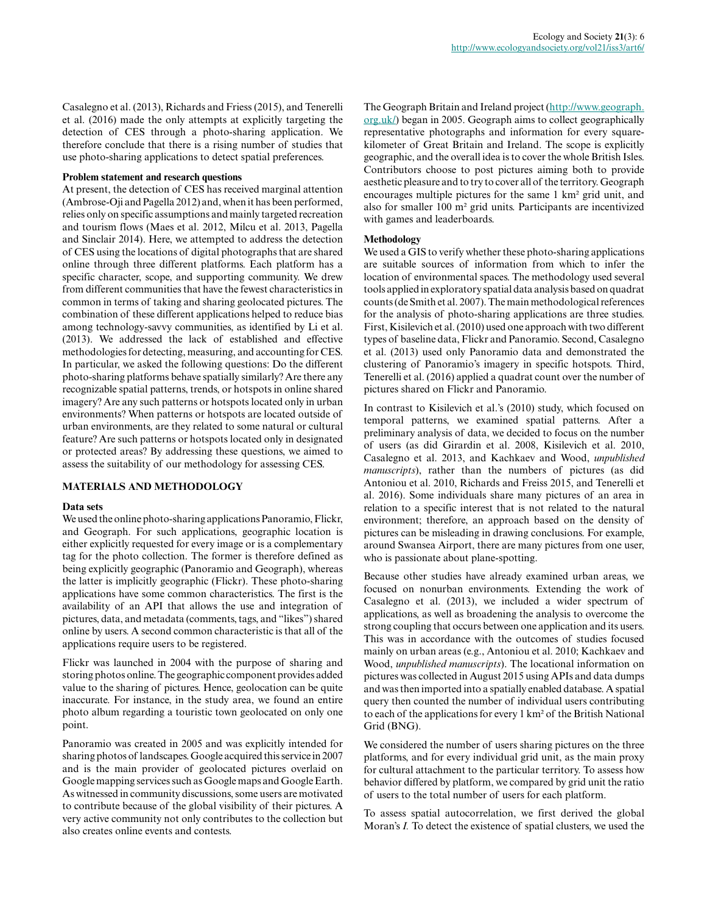Casalegno et al. (2013), Richards and Friess (2015), and Tenerelli et al. (2016) made the only attempts at explicitly targeting the detection of CES through a photo-sharing application. We therefore conclude that there is a rising number of studies that use photo-sharing applications to detect spatial preferences.

#### **Problem statement and research questions**

At present, the detection of CES has received marginal attention (Ambrose-Oji and Pagella 2012) and, when it has been performed, relies only on specific assumptions and mainly targeted recreation and tourism flows (Maes et al. 2012, Milcu et al. 2013, Pagella and Sinclair 2014). Here, we attempted to address the detection of CES using the locations of digital photographs that are shared online through three different platforms. Each platform has a specific character, scope, and supporting community. We drew from different communities that have the fewest characteristics in common in terms of taking and sharing geolocated pictures. The combination of these different applications helped to reduce bias among technology-savvy communities, as identified by Li et al. (2013). We addressed the lack of established and effective methodologies for detecting, measuring, and accounting for CES. In particular, we asked the following questions: Do the different photo-sharing platforms behave spatially similarly? Are there any recognizable spatial patterns, trends, or hotspots in online shared imagery? Are any such patterns or hotspots located only in urban environments? When patterns or hotspots are located outside of urban environments, are they related to some natural or cultural feature? Are such patterns or hotspots located only in designated or protected areas? By addressing these questions, we aimed to assess the suitability of our methodology for assessing CES.

#### **MATERIALS AND METHODOLOGY**

#### **Data sets**

We used the online photo-sharing applications Panoramio, Flickr, and Geograph. For such applications, geographic location is either explicitly requested for every image or is a complementary tag for the photo collection. The former is therefore defined as being explicitly geographic (Panoramio and Geograph), whereas the latter is implicitly geographic (Flickr). These photo-sharing applications have some common characteristics. The first is the availability of an API that allows the use and integration of pictures, data, and metadata (comments, tags, and "likes") shared online by users. A second common characteristic is that all of the applications require users to be registered.

Flickr was launched in 2004 with the purpose of sharing and storing photos online. The geographic component provides added value to the sharing of pictures. Hence, geolocation can be quite inaccurate. For instance, in the study area, we found an entire photo album regarding a touristic town geolocated on only one point.

Panoramio was created in 2005 and was explicitly intended for sharing photos of landscapes. Google acquired this service in 2007 and is the main provider of geolocated pictures overlaid on Google mapping services such as Google maps and Google Earth. As witnessed in community discussions, some users are motivated to contribute because of the global visibility of their pictures. A very active community not only contributes to the collection but also creates online events and contests.

The Geograph Britain and Ireland project ([http://www.geograph.](http://www.geograph.org.uk/) [org.uk/\)](http://www.geograph.org.uk/) began in 2005. Geograph aims to collect geographically representative photographs and information for every squarekilometer of Great Britain and Ireland. The scope is explicitly geographic, and the overall idea is to cover the whole British Isles. Contributors choose to post pictures aiming both to provide aesthetic pleasure and to try to cover all of the territory. Geograph encourages multiple pictures for the same 1 km² grid unit, and also for smaller 100 m² grid units. Participants are incentivized with games and leaderboards.

#### **Methodology**

We used a GIS to verify whether these photo-sharing applications are suitable sources of information from which to infer the location of environmental spaces. The methodology used several tools applied in exploratory spatial data analysis based on quadrat counts (de Smith et al. 2007). The main methodological references for the analysis of photo-sharing applications are three studies. First, Kisilevich et al. (2010) used one approach with two different types of baseline data, Flickr and Panoramio. Second, Casalegno et al. (2013) used only Panoramio data and demonstrated the clustering of Panoramio's imagery in specific hotspots. Third, Tenerelli et al. (2016) applied a quadrat count over the number of pictures shared on Flickr and Panoramio.

In contrast to Kisilevich et al.'s (2010) study, which focused on temporal patterns, we examined spatial patterns. After a preliminary analysis of data, we decided to focus on the number of users (as did Girardin et al. 2008, Kisilevich et al. 2010, Casalegno et al. 2013, and Kachkaev and Wood, *unpublished manuscripts*), rather than the numbers of pictures (as did Antoniou et al. 2010, Richards and Freiss 2015, and Tenerelli et al. 2016). Some individuals share many pictures of an area in relation to a specific interest that is not related to the natural environment; therefore, an approach based on the density of pictures can be misleading in drawing conclusions. For example, around Swansea Airport, there are many pictures from one user, who is passionate about plane-spotting.

Because other studies have already examined urban areas, we focused on nonurban environments. Extending the work of Casalegno et al. (2013), we included a wider spectrum of applications, as well as broadening the analysis to overcome the strong coupling that occurs between one application and its users. This was in accordance with the outcomes of studies focused mainly on urban areas (e.g., Antoniou et al. 2010; Kachkaev and Wood, *unpublished manuscripts*). The locational information on pictures was collected in August 2015 using APIs and data dumps and was then imported into a spatially enabled database. A spatial query then counted the number of individual users contributing to each of the applications for every 1 km² of the British National Grid (BNG).

We considered the number of users sharing pictures on the three platforms, and for every individual grid unit, as the main proxy for cultural attachment to the particular territory. To assess how behavior differed by platform, we compared by grid unit the ratio of users to the total number of users for each platform.

To assess spatial autocorrelation, we first derived the global Moran's *I.* To detect the existence of spatial clusters, we used the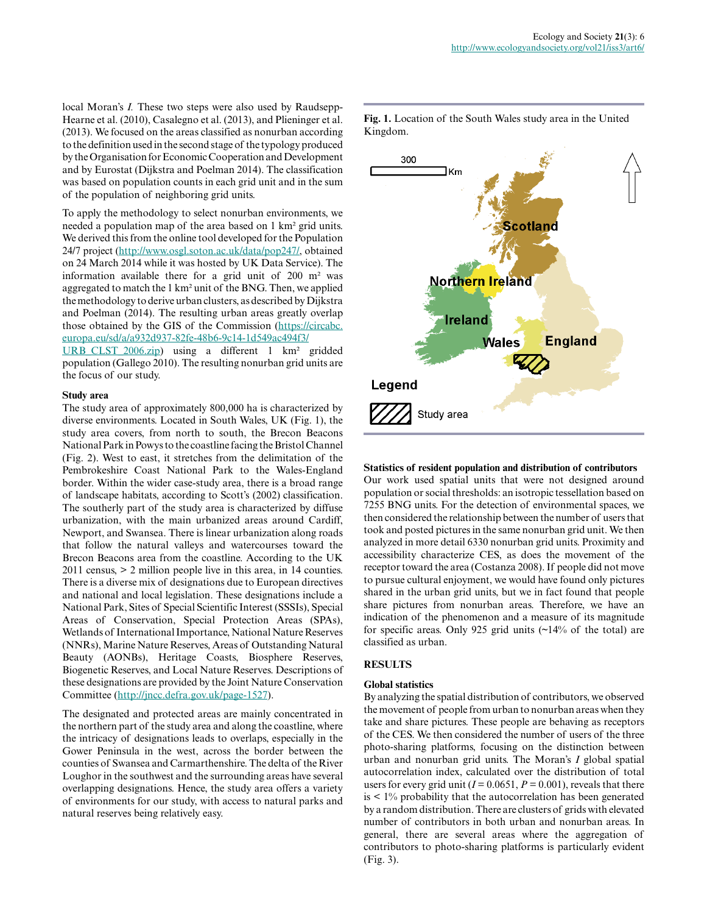local Moran's *I.* These two steps were also used by Raudsepp-Hearne et al. (2010), Casalegno et al. (2013), and Plieninger et al. (2013). We focused on the areas classified as nonurban according to the definition used in the second stage of the typology produced by the Organisation for Economic Cooperation and Development and by Eurostat (Dijkstra and Poelman 2014). The classification was based on population counts in each grid unit and in the sum of the population of neighboring grid units.

To apply the methodology to select nonurban environments, we needed a population map of the area based on 1 km² grid units. We derived this from the online tool developed for the Population 24/7 project (<http://www.osgl.soton.ac.uk/data/pop247/>, obtained on 24 March 2014 while it was hosted by UK Data Service). The information available there for a grid unit of 200 m² was aggregated to match the 1 km² unit of the BNG. Then, we applied the methodology to derive urban clusters, as described by Dijkstra and Poelman (2014). The resulting urban areas greatly overlap those obtained by the GIS of the Commission ([https://circabc.](https://circabc.europa.eu/sd/a/a932d937-82fe-48b6-9c14-1d549ac494f3/URB_CLST_2006.zip) [europa.eu/sd/a/a932d937-82fe-48b6-9c14-1d549ac494f3/](https://circabc.europa.eu/sd/a/a932d937-82fe-48b6-9c14-1d549ac494f3/URB_CLST_2006.zip)

[URB\\_CLST\\_2006.zip\)](https://circabc.europa.eu/sd/a/a932d937-82fe-48b6-9c14-1d549ac494f3/URB_CLST_2006.zip) using a different 1 km² gridded population (Gallego 2010). The resulting nonurban grid units are the focus of our study.

# **Study area**

The study area of approximately 800,000 ha is characterized by diverse environments. Located in South Wales, UK (Fig. 1), the study area covers, from north to south, the Brecon Beacons National Park in Powys to the coastline facing the Bristol Channel (Fig. 2). West to east, it stretches from the delimitation of the Pembrokeshire Coast National Park to the Wales-England border. Within the wider case-study area, there is a broad range of landscape habitats, according to Scott's (2002) classification. The southerly part of the study area is characterized by diffuse urbanization, with the main urbanized areas around Cardiff, Newport, and Swansea. There is linear urbanization along roads that follow the natural valleys and watercourses toward the Brecon Beacons area from the coastline. According to the UK 2011 census, > 2 million people live in this area, in 14 counties. There is a diverse mix of designations due to European directives and national and local legislation. These designations include a National Park, Sites of Special Scientific Interest (SSSIs), Special Areas of Conservation, Special Protection Areas (SPAs), Wetlands of International Importance, National Nature Reserves (NNRs), Marine Nature Reserves, Areas of Outstanding Natural Beauty (AONBs), Heritage Coasts, Biosphere Reserves, Biogenetic Reserves, and Local Nature Reserves. Descriptions of these designations are provided by the Joint Nature Conservation Committee ([http://jncc.defra.gov.uk/page-1527\)](http://jncc.defra.gov.uk/page-1527).

The designated and protected areas are mainly concentrated in the northern part of the study area and along the coastline, where the intricacy of designations leads to overlaps, especially in the Gower Peninsula in the west, across the border between the counties of Swansea and Carmarthenshire. The delta of the River Loughor in the southwest and the surrounding areas have several overlapping designations. Hence, the study area offers a variety of environments for our study, with access to natural parks and natural reserves being relatively easy.

**Fig. 1.** Location of the South Wales study area in the United Kingdom.



#### **Statistics of resident population and distribution of contributors**

Our work used spatial units that were not designed around population or social thresholds: an isotropic tessellation based on 7255 BNG units. For the detection of environmental spaces, we then considered the relationship between the number of users that took and posted pictures in the same nonurban grid unit. We then analyzed in more detail 6330 nonurban grid units. Proximity and accessibility characterize CES, as does the movement of the receptor toward the area (Costanza 2008). If people did not move to pursue cultural enjoyment, we would have found only pictures shared in the urban grid units, but we in fact found that people share pictures from nonurban areas. Therefore, we have an indication of the phenomenon and a measure of its magnitude for specific areas. Only 925 grid units (~14% of the total) are classified as urban.

# **RESULTS**

#### **Global statistics**

By analyzing the spatial distribution of contributors, we observed the movement of people from urban to nonurban areas when they take and share pictures. These people are behaving as receptors of the CES. We then considered the number of users of the three photo-sharing platforms, focusing on the distinction between urban and nonurban grid units. The Moran's *I* global spatial autocorrelation index, calculated over the distribution of total users for every grid unit  $(I = 0.0651, P = 0.001)$ , reveals that there  $is < 1\%$  probability that the autocorrelation has been generated by a random distribution. There are clusters of grids with elevated number of contributors in both urban and nonurban areas. In general, there are several areas where the aggregation of contributors to photo-sharing platforms is particularly evident (Fig. 3).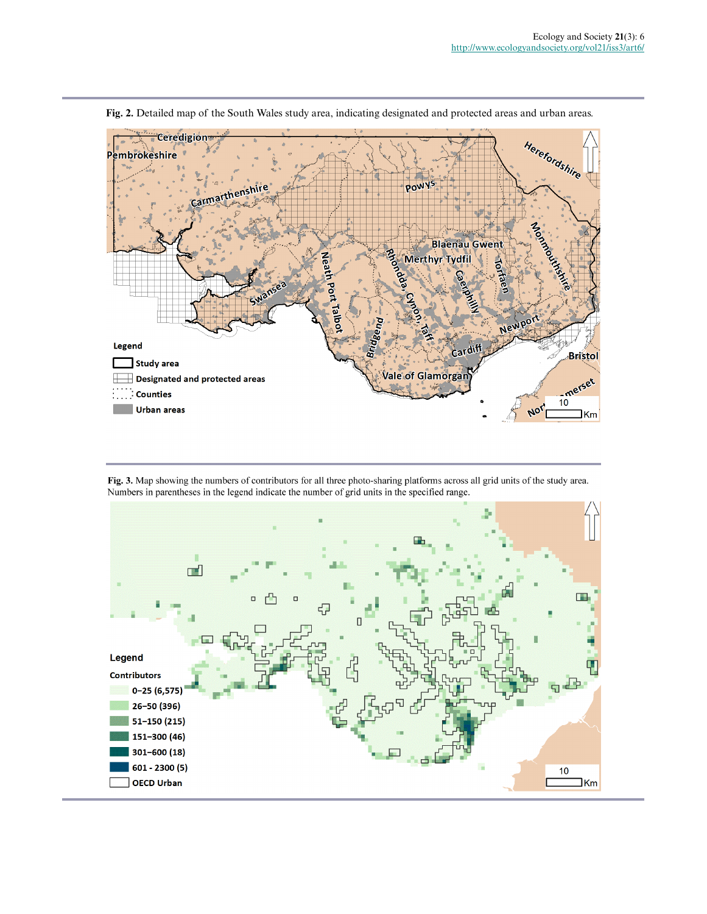

**Fig. 2.** Detailed map of the South Wales study area, indicating designated and protected areas and urban areas.

Fig. 3. Map showing the numbers of contributors for all three photo-sharing platforms across all grid units of the study area. Numbers in parentheses in the legend indicate the number of grid units in the specified range.

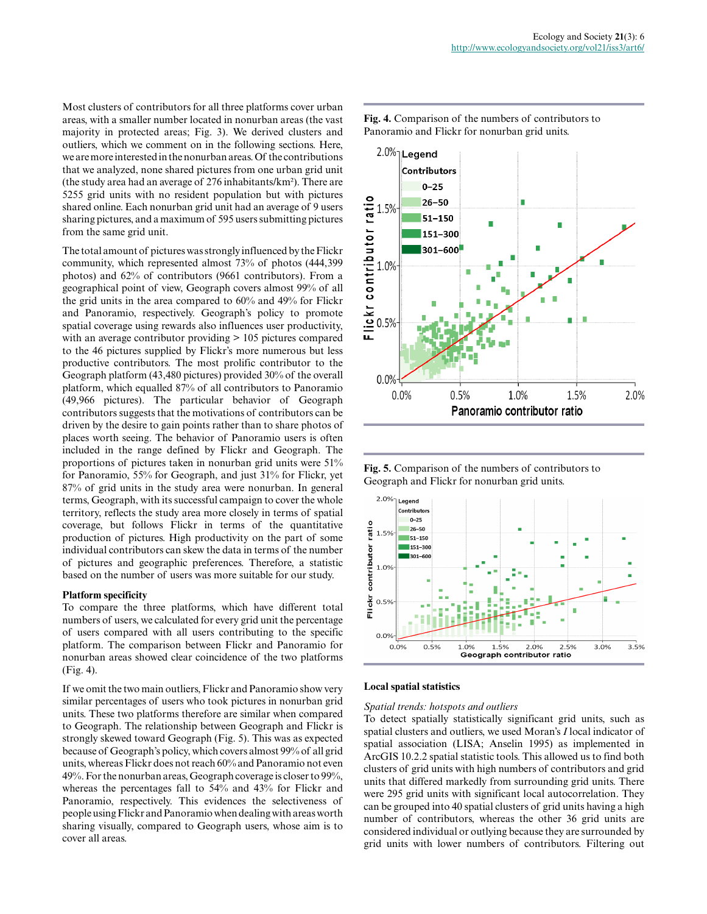Most clusters of contributors for all three platforms cover urban areas, with a smaller number located in nonurban areas (the vast majority in protected areas; Fig. 3). We derived clusters and outliers, which we comment on in the following sections. Here, we are more interested in the nonurban areas. Of the contributions that we analyzed, none shared pictures from one urban grid unit (the study area had an average of 276 inhabitants/km²). There are 5255 grid units with no resident population but with pictures shared online. Each nonurban grid unit had an average of 9 users sharing pictures, and a maximum of 595 users submitting pictures from the same grid unit.

The total amount of pictures was strongly influenced by the Flickr community, which represented almost 73% of photos (444,399 photos) and 62% of contributors (9661 contributors). From a geographical point of view, Geograph covers almost 99% of all the grid units in the area compared to 60% and 49% for Flickr and Panoramio, respectively. Geograph's policy to promote spatial coverage using rewards also influences user productivity, with an average contributor providing  $> 105$  pictures compared to the 46 pictures supplied by Flickr's more numerous but less productive contributors. The most prolific contributor to the Geograph platform (43,480 pictures) provided 30% of the overall platform, which equalled 87% of all contributors to Panoramio (49,966 pictures). The particular behavior of Geograph contributors suggests that the motivations of contributors can be driven by the desire to gain points rather than to share photos of places worth seeing. The behavior of Panoramio users is often included in the range defined by Flickr and Geograph. The proportions of pictures taken in nonurban grid units were 51% for Panoramio, 55% for Geograph, and just 31% for Flickr, yet 87% of grid units in the study area were nonurban. In general terms, Geograph, with its successful campaign to cover the whole territory, reflects the study area more closely in terms of spatial coverage, but follows Flickr in terms of the quantitative production of pictures. High productivity on the part of some individual contributors can skew the data in terms of the number of pictures and geographic preferences. Therefore, a statistic based on the number of users was more suitable for our study.

# **Platform specificity**

To compare the three platforms, which have different total numbers of users, we calculated for every grid unit the percentage of users compared with all users contributing to the specific platform. The comparison between Flickr and Panoramio for nonurban areas showed clear coincidence of the two platforms (Fig. 4).

If we omit the two main outliers, Flickr and Panoramio show very similar percentages of users who took pictures in nonurban grid units. These two platforms therefore are similar when compared to Geograph. The relationship between Geograph and Flickr is strongly skewed toward Geograph (Fig. 5). This was as expected because of Geograph's policy, which covers almost 99% of all grid units, whereas Flickr does not reach 60% and Panoramio not even 49%. For the nonurban areas, Geograph coverage is closer to 99%, whereas the percentages fall to 54% and 43% for Flickr and Panoramio, respectively. This evidences the selectiveness of people using Flickr and Panoramio when dealing with areas worth sharing visually, compared to Geograph users, whose aim is to cover all areas.



**Fig. 4.** Comparison of the numbers of contributors to Panoramio and Flickr for nonurban grid units.

**Fig. 5.** Comparison of the numbers of contributors to Geograph and Flickr for nonurban grid units.



# **Local spatial statistics**

# *Spatial trends: hotspots and outliers*

To detect spatially statistically significant grid units, such as spatial clusters and outliers, we used Moran's *I* local indicator of spatial association (LISA; Anselin 1995) as implemented in ArcGIS 10.2.2 spatial statistic tools. This allowed us to find both clusters of grid units with high numbers of contributors and grid units that differed markedly from surrounding grid units. There were 295 grid units with significant local autocorrelation. They can be grouped into 40 spatial clusters of grid units having a high number of contributors, whereas the other 36 grid units are considered individual or outlying because they are surrounded by grid units with lower numbers of contributors. Filtering out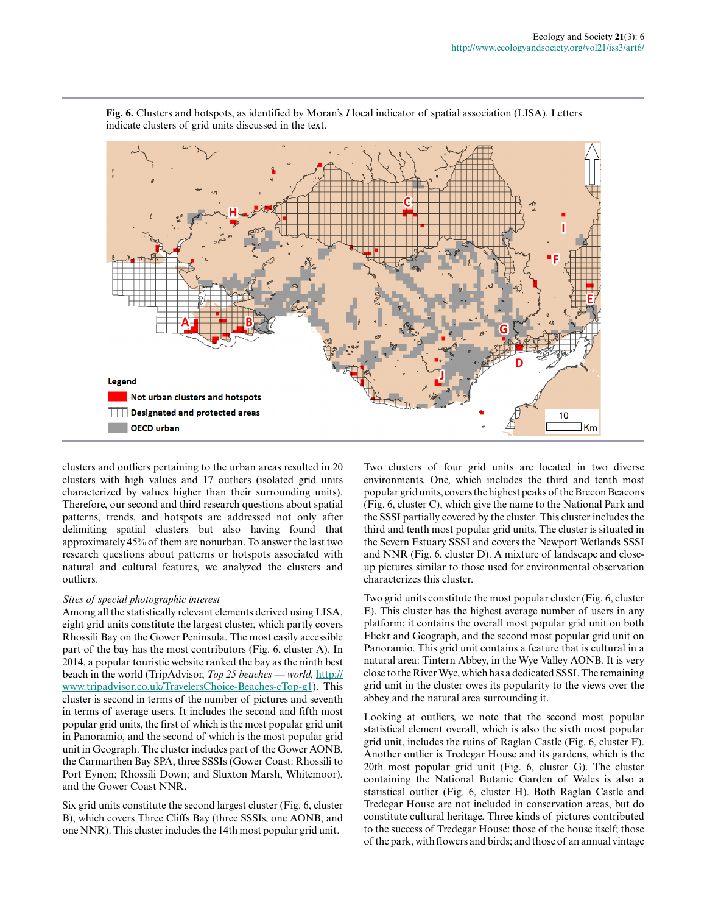

**Fig. 6.** Clusters and hotspots, as identified by Moran's *I* local indicator of spatial association (LISA). Letters indicate clusters of grid units discussed in the text.

clusters and outliers pertaining to the urban areas resulted in 20 clusters with high values and 17 outliers (isolated grid units characterized by values higher than their surrounding units). Therefore, our second and third research questions about spatial patterns, trends, and hotspots are addressed not only after delimiting spatial clusters but also having found that approximately 45% of them are nonurban. To answer the last two research questions about patterns or hotspots associated with natural and cultural features, we analyzed the clusters and outliers.

# *Sites of special photographic interest*

Among all the statistically relevant elements derived using LISA, eight grid units constitute the largest cluster, which partly covers Rhossili Bay on the Gower Peninsula. The most easily accessible part of the bay has the most contributors (Fig. 6, cluster A). In 2014, a popular touristic website ranked the bay as the ninth best beach in the world (TripAdvisor, *Top 25 beaches — world,* [http://](http://www.tripadvisor.co.uk/TravelersChoice-Beaches-cTop-g1) [www.tripadvisor.co.uk/TravelersChoice-Beaches-cTop-g1\)](http://www.tripadvisor.co.uk/TravelersChoice-Beaches-cTop-g1). This cluster is second in terms of the number of pictures and seventh in terms of average users. It includes the second and fifth most popular grid units, the first of which is the most popular grid unit in Panoramio, and the second of which is the most popular grid unit in Geograph. The cluster includes part of the Gower AONB, the Carmarthen Bay SPA, three SSSIs (Gower Coast: Rhossili to Port Eynon; Rhossili Down; and Sluxton Marsh, Whitemoor), and the Gower Coast NNR.

Six grid units constitute the second largest cluster (Fig. 6, cluster B), which covers Three Cliffs Bay (three SSSIs, one AONB, and one NNR). This cluster includes the 14th most popular grid unit.

Two clusters of four grid units are located in two diverse environments. One, which includes the third and tenth most popular grid units, covers the highest peaks of the Brecon Beacons (Fig. 6, cluster C), which give the name to the National Park and the SSSI partially covered by the cluster. This cluster includes the third and tenth most popular grid units. The cluster is situated in the Severn Estuary SSSI and covers the Newport Wetlands SSSI and NNR (Fig. 6, cluster D). A mixture of landscape and closeup pictures similar to those used for environmental observation characterizes this cluster.

Two grid units constitute the most popular cluster (Fig. 6, cluster E). This cluster has the highest average number of users in any platform; it contains the overall most popular grid unit on both Flickr and Geograph, and the second most popular grid unit on Panoramio. This grid unit contains a feature that is cultural in a natural area: Tintern Abbey, in the Wye Valley AONB. It is very close to the River Wye, which has a dedicated SSSI. The remaining grid unit in the cluster owes its popularity to the views over the abbey and the natural area surrounding it.

Looking at outliers, we note that the second most popular statistical element overall, which is also the sixth most popular grid unit, includes the ruins of Raglan Castle (Fig. 6, cluster F). Another outlier is Tredegar House and its gardens, which is the 20th most popular grid unit (Fig. 6, cluster G). The cluster containing the National Botanic Garden of Wales is also a statistical outlier (Fig. 6, cluster H). Both Raglan Castle and Tredegar House are not included in conservation areas, but do constitute cultural heritage. Three kinds of pictures contributed to the success of Tredegar House: those of the house itself; those of the park, with flowers and birds; and those of an annual vintage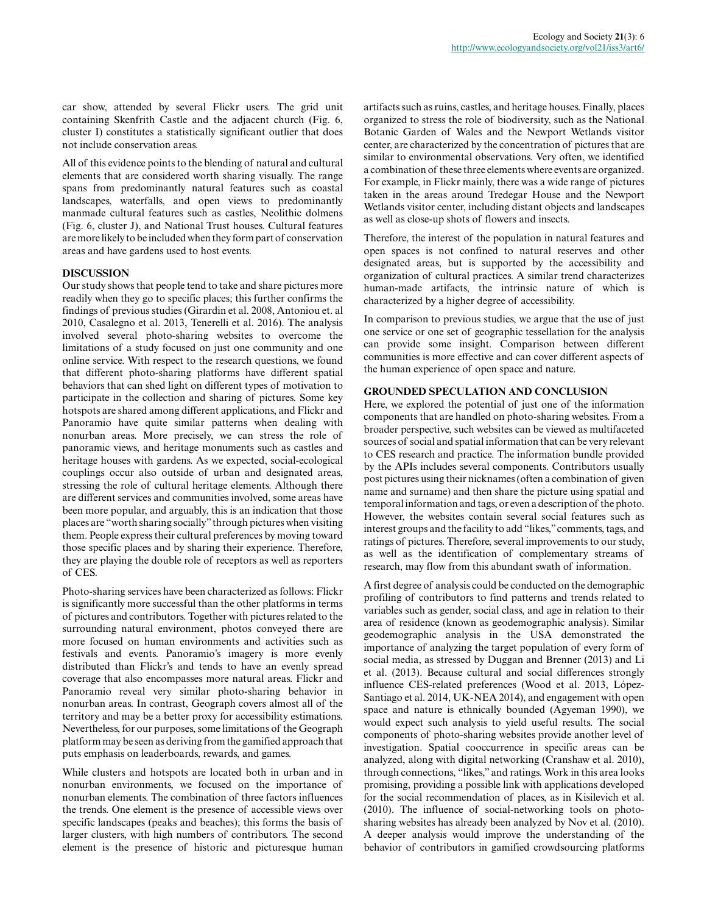car show, attended by several Flickr users. The grid unit containing Skenfrith Castle and the adjacent church (Fig. 6, cluster I) constitutes a statistically significant outlier that does not include conservation areas.

All of this evidence points to the blending of natural and cultural elements that are considered worth sharing visually. The range spans from predominantly natural features such as coastal landscapes, waterfalls, and open views to predominantly manmade cultural features such as castles, Neolithic dolmens (Fig. 6, cluster J), and National Trust houses. Cultural features are more likely to be included when they form part of conservation areas and have gardens used to host events.

# **DISCUSSION**

Our study shows that people tend to take and share pictures more readily when they go to specific places; this further confirms the findings of previous studies (Girardin et al. 2008, Antoniou et. al 2010, Casalegno et al. 2013, Tenerelli et al. 2016). The analysis involved several photo-sharing websites to overcome the limitations of a study focused on just one community and one online service. With respect to the research questions, we found that different photo-sharing platforms have different spatial behaviors that can shed light on different types of motivation to participate in the collection and sharing of pictures. Some key hotspots are shared among different applications, and Flickr and Panoramio have quite similar patterns when dealing with nonurban areas. More precisely, we can stress the role of panoramic views, and heritage monuments such as castles and heritage houses with gardens. As we expected, social-ecological couplings occur also outside of urban and designated areas, stressing the role of cultural heritage elements. Although there are different services and communities involved, some areas have been more popular, and arguably, this is an indication that those places are "worth sharing socially" through pictures when visiting them. People express their cultural preferences by moving toward those specific places and by sharing their experience. Therefore, they are playing the double role of receptors as well as reporters of CES.

Photo-sharing services have been characterized as follows: Flickr is significantly more successful than the other platforms in terms of pictures and contributors. Together with pictures related to the surrounding natural environment, photos conveyed there are more focused on human environments and activities such as festivals and events. Panoramio's imagery is more evenly distributed than Flickr's and tends to have an evenly spread coverage that also encompasses more natural areas. Flickr and Panoramio reveal very similar photo-sharing behavior in nonurban areas. In contrast, Geograph covers almost all of the territory and may be a better proxy for accessibility estimations. Nevertheless, for our purposes, some limitations of the Geograph platform may be seen as deriving from the gamified approach that puts emphasis on leaderboards, rewards, and games.

While clusters and hotspots are located both in urban and in nonurban environments, we focused on the importance of nonurban elements. The combination of three factors influences the trends. One element is the presence of accessible views over specific landscapes (peaks and beaches); this forms the basis of larger clusters, with high numbers of contributors. The second element is the presence of historic and picturesque human

artifacts such as ruins, castles, and heritage houses. Finally, places organized to stress the role of biodiversity, such as the National Botanic Garden of Wales and the Newport Wetlands visitor center, are characterized by the concentration of pictures that are similar to environmental observations. Very often, we identified a combination of these three elements where events are organized. For example, in Flickr mainly, there was a wide range of pictures taken in the areas around Tredegar House and the Newport Wetlands visitor center, including distant objects and landscapes as well as close-up shots of flowers and insects.

Therefore, the interest of the population in natural features and open spaces is not confined to natural reserves and other designated areas, but is supported by the accessibility and organization of cultural practices. A similar trend characterizes human-made artifacts, the intrinsic nature of which is characterized by a higher degree of accessibility.

In comparison to previous studies, we argue that the use of just one service or one set of geographic tessellation for the analysis can provide some insight. Comparison between different communities is more effective and can cover different aspects of the human experience of open space and nature.

# **GROUNDED SPECULATION AND CONCLUSION**

Here, we explored the potential of just one of the information components that are handled on photo-sharing websites. From a broader perspective, such websites can be viewed as multifaceted sources of social and spatial information that can be very relevant to CES research and practice. The information bundle provided by the APIs includes several components. Contributors usually post pictures using their nicknames (often a combination of given name and surname) and then share the picture using spatial and temporal information and tags, or even a description of the photo. However, the websites contain several social features such as interest groups and the facility to add "likes," comments, tags, and ratings of pictures. Therefore, several improvements to our study, as well as the identification of complementary streams of research, may flow from this abundant swath of information.

A first degree of analysis could be conducted on the demographic profiling of contributors to find patterns and trends related to variables such as gender, social class, and age in relation to their area of residence (known as geodemographic analysis). Similar geodemographic analysis in the USA demonstrated the importance of analyzing the target population of every form of social media, as stressed by Duggan and Brenner (2013) and Li et al. (2013). Because cultural and social differences strongly influence CES-related preferences (Wood et al. 2013, López-Santiago et al. 2014, UK-NEA 2014), and engagement with open space and nature is ethnically bounded (Agyeman 1990), we would expect such analysis to yield useful results. The social components of photo-sharing websites provide another level of investigation. Spatial cooccurrence in specific areas can be analyzed, along with digital networking (Cranshaw et al. 2010), through connections, "likes," and ratings. Work in this area looks promising, providing a possible link with applications developed for the social recommendation of places, as in Kisilevich et al. (2010). The influence of social-networking tools on photosharing websites has already been analyzed by Nov et al. (2010). A deeper analysis would improve the understanding of the behavior of contributors in gamified crowdsourcing platforms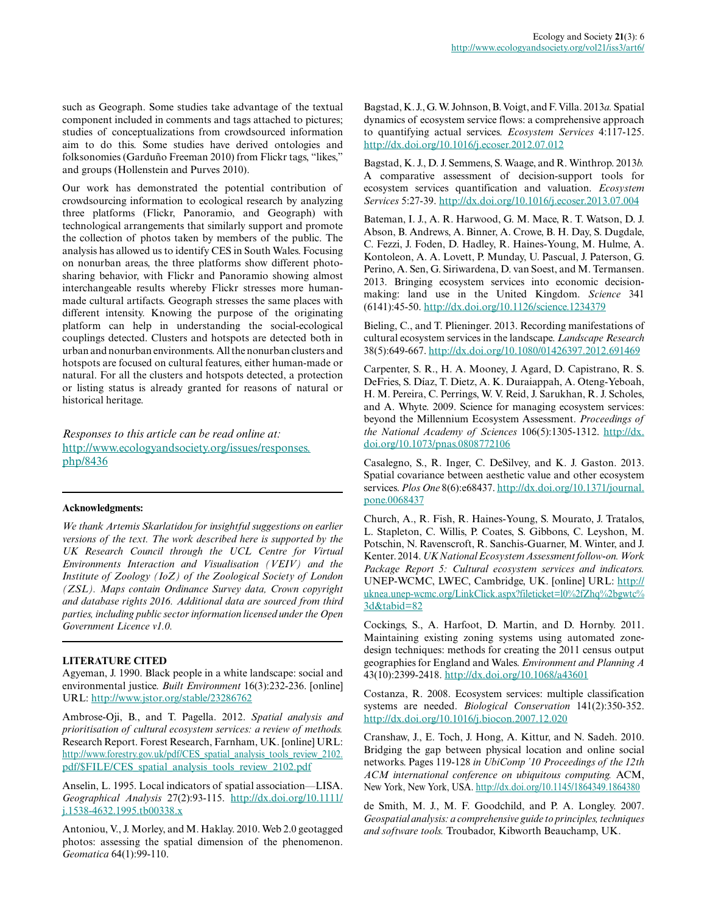such as Geograph. Some studies take advantage of the textual component included in comments and tags attached to pictures; studies of conceptualizations from crowdsourced information aim to do this. Some studies have derived ontologies and folksonomies (Garduño Freeman 2010) from Flickr tags, "likes," and groups (Hollenstein and Purves 2010).

Our work has demonstrated the potential contribution of crowdsourcing information to ecological research by analyzing three platforms (Flickr, Panoramio, and Geograph) with technological arrangements that similarly support and promote the collection of photos taken by members of the public. The analysis has allowed us to identify CES in South Wales. Focusing on nonurban areas, the three platforms show different photosharing behavior, with Flickr and Panoramio showing almost interchangeable results whereby Flickr stresses more humanmade cultural artifacts. Geograph stresses the same places with different intensity. Knowing the purpose of the originating platform can help in understanding the social-ecological couplings detected. Clusters and hotspots are detected both in urban and nonurban environments. All the nonurban clusters and hotspots are focused on cultural features, either human-made or natural. For all the clusters and hotspots detected, a protection or listing status is already granted for reasons of natural or historical heritage.

*Responses to this article can be read online at:* [http://www.ecologyandsociety.org/issues/responses.](http://www.ecologyandsociety.org/issues/responses.php/8436) [php/8436](http://www.ecologyandsociety.org/issues/responses.php/8436)

# **Acknowledgments:**

*We thank Artemis Skarlatidou for insightful suggestions on earlier versions of the text. The work described here is supported by the UK Research Council through the UCL Centre for Virtual Environments Interaction and Visualisation (VEIV) and the Institute of Zoology (IoZ) of the Zoological Society of London (ZSL). Maps contain Ordinance Survey data, Crown copyright and database rights 2016. Additional data are sourced from third parties, including public sector information licensed under the Open Government Licence v1.0.*

# **LITERATURE CITED**

Agyeman, J. 1990. Black people in a white landscape: social and environmental justice. *Built Environment* 16(3):232-236. [online] URL:<http://www.jstor.org/stable/23286762>

Ambrose-Oji, B., and T. Pagella. 2012. *Spatial analysis and prioritisation of cultural ecosystem services: a review of methods.* Research Report. Forest Research, Farnham, UK. [online] URL: [http://www.forestry.gov.uk/pdf/CES\\_spatial\\_analysis\\_tools\\_review\\_2102.](http://www.forestry.gov.uk/pdf/CES_spatial_analysis_tools_review_2102.pdf/$FILE/CES_spatial_analysis_tools_review_2102.pdf) [pdf/\\$FILE/CES\\_spatial\\_analysis\\_tools\\_review\\_2102.pdf](http://www.forestry.gov.uk/pdf/CES_spatial_analysis_tools_review_2102.pdf/$FILE/CES_spatial_analysis_tools_review_2102.pdf)

Anselin, L. 1995. Local indicators of spatial association—LISA. *Geographical Analysis* 27(2):93-115. [http://dx.doi.org/10.1111/](http://dx.doi.org/10.1111/j.1538-4632.1995.tb00338.x) [j.1538-4632.1995.tb00338.x](http://dx.doi.org/10.1111/j.1538-4632.1995.tb00338.x)

Antoniou, V., J. Morley, and M. Haklay. 2010. Web 2.0 geotagged photos: assessing the spatial dimension of the phenomenon. *Geomatica* 64(1):99-110.

Bagstad, K. J., G. W. Johnson, B. Voigt, and F. Villa. 2013*a.* Spatial dynamics of ecosystem service flows: a comprehensive approach to quantifying actual services. *Ecosystem Services* 4:117-125. <http://dx.doi.org/10.1016/j.ecoser.2012.07.012>

Bagstad, K. J., D. J. Semmens, S. Waage, and R. Winthrop. 2013*b.* A comparative assessment of decision-support tools for ecosystem services quantification and valuation. *Ecosystem Services* 5:27-39.<http://dx.doi.org/10.1016/j.ecoser.2013.07.004>

Bateman, I. J., A. R. Harwood, G. M. Mace, R. T. Watson, D. J. Abson, B. Andrews, A. Binner, A. Crowe, B. H. Day, S. Dugdale, C. Fezzi, J. Foden, D. Hadley, R. Haines-Young, M. Hulme, A. Kontoleon, A. A. Lovett, P. Munday, U. Pascual, J. Paterson, G. Perino, A. Sen, G. Siriwardena, D. van Soest, and M. Termansen. 2013. Bringing ecosystem services into economic decisionmaking: land use in the United Kingdom. *Science* 341 (6141):45-50.<http://dx.doi.org/10.1126/science.1234379>

Bieling, C., and T. Plieninger. 2013. Recording manifestations of cultural ecosystem services in the landscape. *Landscape Research* 38(5):649-667.<http://dx.doi.org/10.1080/01426397.2012.691469>

Carpenter, S. R., H. A. Mooney, J. Agard, D. Capistrano, R. S. DeFries, S. Díaz, T. Dietz, A. K. Duraiappah, A. Oteng-Yeboah, H. M. Pereira, C. Perrings, W. V. Reid, J. Sarukhan, R. J. Scholes, and A. Whyte. 2009. Science for managing ecosystem services: beyond the Millennium Ecosystem Assessment. *Proceedings of the National Academy of Sciences* 106(5):1305-1312. [http://dx.](http://dx.doi.org/10.1073/pnas.0808772106) [doi.org/10.1073/pnas.0808772106](http://dx.doi.org/10.1073/pnas.0808772106) 

Casalegno, S., R. Inger, C. DeSilvey, and K. J. Gaston. 2013. Spatial covariance between aesthetic value and other ecosystem services. *Plos One* 8(6):e68437. [http://dx.doi.org/10.1371/journal.](http://dx.doi.org/10.1371/journal.pone.0068437) [pone.0068437](http://dx.doi.org/10.1371/journal.pone.0068437)

Church, A., R. Fish, R. Haines-Young, S. Mourato, J. Tratalos, L. Stapleton, C. Willis, P. Coates, S. Gibbons, C. Leyshon, M. Potschin, N. Ravenscroft, R. Sanchis-Guarner, M. Winter, and J. Kenter. 2014. *UK National Ecosystem Assessment follow-on. Work Package Report 5: Cultural ecosystem services and indicators.* UNEP-WCMC, LWEC, Cambridge, UK. [online] URL: [http://](http://uknea.unep-wcmc.org/LinkClick.aspx?fileticket=l0%2fZhq%2bgwtc%3d&tabid=82) [uknea.unep-wcmc.org/LinkClick.aspx?fileticket=l0%2fZhq%2bgwtc%](http://uknea.unep-wcmc.org/LinkClick.aspx?fileticket=l0%2fZhq%2bgwtc%3d&tabid=82) [3d&tabid=82](http://uknea.unep-wcmc.org/LinkClick.aspx?fileticket=l0%2fZhq%2bgwtc%3d&tabid=82) 

Cockings, S., A. Harfoot, D. Martin, and D. Hornby. 2011. Maintaining existing zoning systems using automated zonedesign techniques: methods for creating the 2011 census output geographies for England and Wales. *Environment and Planning A* 43(10):2399-2418.<http://dx.doi.org/10.1068/a43601>

Costanza, R. 2008. Ecosystem services: multiple classification systems are needed. *Biological Conservation* 141(2):350-352. <http://dx.doi.org/10.1016/j.biocon.2007.12.020>

Cranshaw, J., E. Toch, J. Hong, A. Kittur, and N. Sadeh. 2010. Bridging the gap between physical location and online social networks. Pages 119-128 *in UbiComp '10 Proceedings of the 12th ACM international conference on ubiquitous computing.* ACM, New York, New York, USA. <http://dx.doi.org/10.1145/1864349.1864380>

de Smith, M. J., M. F. Goodchild, and P. A. Longley. 2007. *Geospatial analysis: a comprehensive guide to principles, techniques and software tools.* Troubador, Kibworth Beauchamp, UK.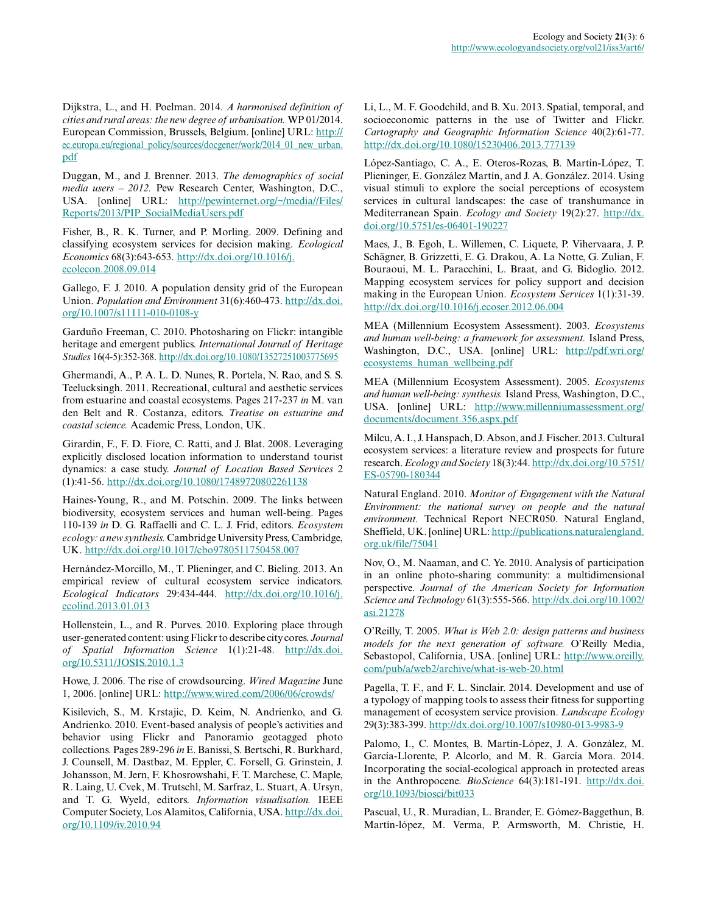Dijkstra, L., and H. Poelman. 2014. *A harmonised definition of cities and rural areas: the new degree of urbanisation.* WP 01/2014. European Commission, Brussels, Belgium. [online] URL: [http://](http://ec.europa.eu/regional_policy/sources/docgener/work/2014_01_new_urban.pdf) [ec.europa.eu/regional\\_policy/sources/docgener/work/2014\\_01\\_new\\_urban.](http://ec.europa.eu/regional_policy/sources/docgener/work/2014_01_new_urban.pdf) [pdf](http://ec.europa.eu/regional_policy/sources/docgener/work/2014_01_new_urban.pdf)

Duggan, M., and J. Brenner. 2013. *The demographics of social media users – 2012.* Pew Research Center, Washington, D.C., USA. [online] URL: [http://pewinternet.org/~/media//Files/](http://pewinternet.org/~/media//Files/Reports/2013/PIP_SocialMediaUsers.pdf) [Reports/2013/PIP\\_SocialMediaUsers.pdf](http://pewinternet.org/~/media//Files/Reports/2013/PIP_SocialMediaUsers.pdf)

Fisher, B., R. K. Turner, and P. Morling. 2009. Defining and classifying ecosystem services for decision making. *Ecological Economics* 68(3):643-653. [http://dx.doi.org/10.1016/j.](http://dx.doi.org/10.1016/j.ecolecon.2008.09.014) [ecolecon.2008.09.014](http://dx.doi.org/10.1016/j.ecolecon.2008.09.014) 

Gallego, F. J. 2010. A population density grid of the European Union. *Population and Environment* 31(6):460-473. [http://dx.doi.](http://dx.doi.org/10.1007/s11111-010-0108-y) [org/10.1007/s11111-010-0108-y](http://dx.doi.org/10.1007/s11111-010-0108-y)

Garduño Freeman, C. 2010. Photosharing on Flickr: intangible heritage and emergent publics. *International Journal of Heritage Studies* 16(4-5):352-368. <http://dx.doi.org/10.1080/13527251003775695>

Ghermandi, A., P. A. L. D. Nunes, R. Portela, N. Rao, and S. S. Teelucksingh. 2011. Recreational, cultural and aesthetic services from estuarine and coastal ecosystems. Pages 217-237 *in* M. van den Belt and R. Costanza, editors. *Treatise on estuarine and coastal science.* Academic Press, London, UK.

Girardin, F., F. D. Fiore, C. Ratti, and J. Blat. 2008. Leveraging explicitly disclosed location information to understand tourist dynamics: a case study. *Journal of Location Based Services* 2 (1):41-56. <http://dx.doi.org/10.1080/17489720802261138>

Haines-Young, R., and M. Potschin. 2009. The links between biodiversity, ecosystem services and human well-being. Pages 110-139 *in* D. G. Raffaelli and C. L. J. Frid, editors. *Ecosystem ecology: a new synthesis.* Cambridge University Press, Cambridge, UK. <http://dx.doi.org/10.1017/cbo9780511750458.007>

Hernández-Morcillo, M., T. Plieninger, and C. Bieling. 2013. An empirical review of cultural ecosystem service indicators. *Ecological Indicators* 29:434-444. [http://dx.doi.org/10.1016/j.](http://dx.doi.org/10.1016/j.ecolind.2013.01.013) [ecolind.2013.01.013](http://dx.doi.org/10.1016/j.ecolind.2013.01.013)

Hollenstein, L., and R. Purves. 2010. Exploring place through user-generated content: using Flickr to describe city cores. *Journal of Spatial Information Science* 1(1):21-48. [http://dx.doi.](http://dx.doi.org/10.5311/JOSIS.2010.1.3) [org/10.5311/JOSIS.2010.1.3](http://dx.doi.org/10.5311/JOSIS.2010.1.3)

Howe, J. 2006. The rise of crowdsourcing. *Wired Magazine* June 1, 2006. [online] URL: <http://www.wired.com/2006/06/crowds/>

Kisilevich, S., M. Krstajic, D. Keim, N. Andrienko, and G. Andrienko. 2010. Event-based analysis of people's activities and behavior using Flickr and Panoramio geotagged photo collections. Pages 289-296 *in* E. Banissi, S. Bertschi, R. Burkhard, J. Counsell, M. Dastbaz, M. Eppler, C. Forsell, G. Grinstein, J. Johansson, M. Jern, F. Khosrowshahi, F. T. Marchese, C. Maple, R. Laing, U. Cvek, M. Trutschl, M. Sarfraz, L. Stuart, A. Ursyn, and T. G. Wyeld, editors. *Information visualisation.* IEEE Computer Society, Los Alamitos, California, USA. [http://dx.doi.](http://dx.doi.org/10.1109/iv.2010.94) [org/10.1109/iv.2010.94](http://dx.doi.org/10.1109/iv.2010.94)

Li, L., M. F. Goodchild, and B. Xu. 2013. Spatial, temporal, and socioeconomic patterns in the use of Twitter and Flickr. *Cartography and Geographic Information Science* 40(2):61-77. <http://dx.doi.org/10.1080/15230406.2013.777139>

López-Santiago, C. A., E. Oteros-Rozas, B. Martín-López, T. Plieninger, E. González Martín, and J. A. González. 2014. Using visual stimuli to explore the social perceptions of ecosystem services in cultural landscapes: the case of transhumance in Mediterranean Spain. *Ecology and Society* 19(2):27. [http://dx.](http://dx.doi.org/10.5751/es-06401-190227) [doi.org/10.5751/es-06401-190227](http://dx.doi.org/10.5751/es-06401-190227) 

Maes, J., B. Egoh, L. Willemen, C. Liquete, P. Vihervaara, J. P. Schägner, B. Grizzetti, E. G. Drakou, A. La Notte, G. Zulian, F. Bouraoui, M. L. Paracchini, L. Braat, and G. Bidoglio. 2012. Mapping ecosystem services for policy support and decision making in the European Union. *Ecosystem Services* 1(1):31-39. <http://dx.doi.org/10.1016/j.ecoser.2012.06.004>

MEA (Millennium Ecosystem Assessment). 2003. *Ecosystems and human well-being: a framework for assessment.* Island Press, Washington, D.C., USA. [online] URL: [http://pdf.wri.org/](http://pdf.wri.org/ecosystems_human_wellbeing.pdf) [ecosystems\\_human\\_wellbeing.pdf](http://pdf.wri.org/ecosystems_human_wellbeing.pdf)

MEA (Millennium Ecosystem Assessment). 2005. *Ecosystems and human well-being: synthesis.* Island Press, Washington, D.C., USA. [online] URL: [http://www.millenniumassessment.org/](http://www.millenniumassessment.org/documents/document.356.aspx.pdf) [documents/document.356.aspx.pdf](http://www.millenniumassessment.org/documents/document.356.aspx.pdf)

Milcu, A. I., J. Hanspach, D. Abson, and J. Fischer. 2013. Cultural ecosystem services: a literature review and prospects for future research. *Ecology and Society* 18(3):44. [http://dx.doi.org/10.5751/](http://dx.doi.org/10.5751/ES-05790-180344) [ES-05790-180344](http://dx.doi.org/10.5751/ES-05790-180344)

Natural England. 2010. *Monitor of Engagement with the Natural Environment: the national survey on people and the natural environment.* Technical Report NECR050. Natural England, Sheffield, UK. [online] URL: [http://publications.naturalengland.](http://publications.naturalengland.org.uk/file/75041) [org.uk/file/75041](http://publications.naturalengland.org.uk/file/75041)

Nov, O., M. Naaman, and C. Ye. 2010. Analysis of participation in an online photo-sharing community: a multidimensional perspective. *Journal of the American Society for Information Science and Technology* 61(3):555-566. [http://dx.doi.org/10.1002/](http://dx.doi.org/10.1002/asi.21278) [asi.21278](http://dx.doi.org/10.1002/asi.21278)

O'Reilly, T. 2005. *What is Web 2.0: design patterns and business models for the next generation of software.* O'Reilly Media, Sebastopol, California, USA. [online] URL: [http://www.oreilly.](http://www.oreilly.com/pub/a/web2/archive/what-is-web-20.html) [com/pub/a/web2/archive/what-is-web-20.html](http://www.oreilly.com/pub/a/web2/archive/what-is-web-20.html)

Pagella, T. F., and F. L. Sinclair. 2014. Development and use of a typology of mapping tools to assess their fitness for supporting management of ecosystem service provision. *Landscape Ecology* 29(3):383-399. <http://dx.doi.org/10.1007/s10980-013-9983-9>

Palomo, I., C. Montes, B. Martín-López, J. A. González, M. García-Llorente, P. Alcorlo, and M. R. García Mora. 2014. Incorporating the social-ecological approach in protected areas in the Anthropocene. *BioScience* 64(3):181-191. [http://dx.doi.](http://dx.doi.org/10.1093/biosci/bit033) [org/10.1093/biosci/bit033](http://dx.doi.org/10.1093/biosci/bit033) 

Pascual, U., R. Muradian, L. Brander, E. Gómez-Baggethun, B. Martín-lópez, M. Verma, P. Armsworth, M. Christie, H.